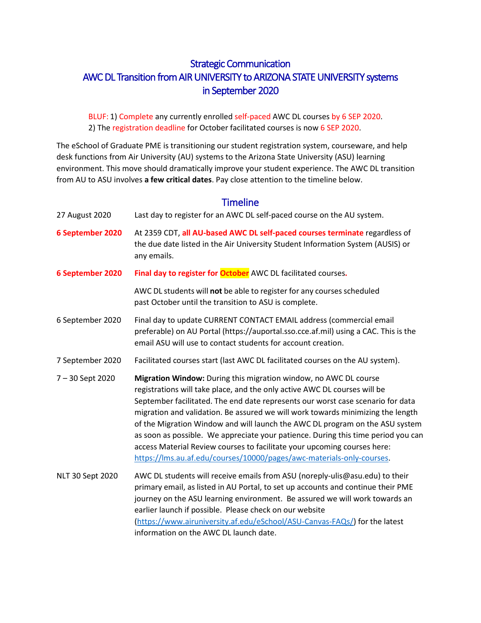# Strategic Communication AWC DL Transition from AIR UNIVERSITY to ARIZONA STATE UNIVERSITY systems in September 2020

BLUF: 1) Complete any currently enrolled self-paced AWC DL courses by 6 SEP 2020. 2) The registration deadline for October facilitated courses is now 6 SEP 2020.

The eSchool of Graduate PME is transitioning our student registration system, courseware, and help desk functions from Air University (AU) systems to the Arizona State University (ASU) learning environment. This move should dramatically improve your student experience. The AWC DL transition from AU to ASU involves **a few critical dates**. Pay close attention to the timeline below.

### **Timeline**

<span id="page-0-0"></span>

| 27 August 2020   | Last day to register for an AWC DL self-paced course on the AU system.                                                                                                                                                                                                                                                                                                                                                                                                                                                                                                                                                                        |
|------------------|-----------------------------------------------------------------------------------------------------------------------------------------------------------------------------------------------------------------------------------------------------------------------------------------------------------------------------------------------------------------------------------------------------------------------------------------------------------------------------------------------------------------------------------------------------------------------------------------------------------------------------------------------|
| 6 September 2020 | At 2359 CDT, all AU-based AWC DL self-paced courses terminate regardless of<br>the due date listed in the Air University Student Information System (AUSIS) or<br>any emails.                                                                                                                                                                                                                                                                                                                                                                                                                                                                 |
| 6 September 2020 | Final day to register for October AWC DL facilitated courses.                                                                                                                                                                                                                                                                                                                                                                                                                                                                                                                                                                                 |
|                  | AWC DL students will not be able to register for any courses scheduled<br>past October until the transition to ASU is complete.                                                                                                                                                                                                                                                                                                                                                                                                                                                                                                               |
| 6 September 2020 | Final day to update CURRENT CONTACT EMAIL address (commercial email<br>preferable) on AU Portal (https://auportal.sso.cce.af.mil) using a CAC. This is the<br>email ASU will use to contact students for account creation.                                                                                                                                                                                                                                                                                                                                                                                                                    |
| 7 September 2020 | Facilitated courses start (last AWC DL facilitated courses on the AU system).                                                                                                                                                                                                                                                                                                                                                                                                                                                                                                                                                                 |
| 7 - 30 Sept 2020 | Migration Window: During this migration window, no AWC DL course<br>registrations will take place, and the only active AWC DL courses will be<br>September facilitated. The end date represents our worst case scenario for data<br>migration and validation. Be assured we will work towards minimizing the length<br>of the Migration Window and will launch the AWC DL program on the ASU system<br>as soon as possible. We appreciate your patience. During this time period you can<br>access Material Review courses to facilitate your upcoming courses here:<br>https://lms.au.af.edu/courses/10000/pages/awc-materials-only-courses. |
| NLT 30 Sept 2020 | AWC DL students will receive emails from ASU (noreply-ulis@asu.edu) to their<br>primary email, as listed in AU Portal, to set up accounts and continue their PME<br>journey on the ASU learning environment. Be assured we will work towards an<br>earlier launch if possible. Please check on our website<br>(https://www.airuniversity.af.edu/eSchool/ASU-Canvas-FAQs/) for the latest<br>information on the AWC DL launch date.                                                                                                                                                                                                            |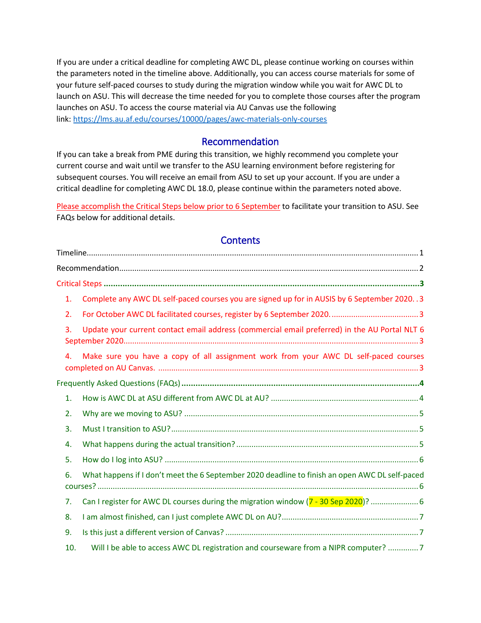If you are under a critical deadline for completing AWC DL, please continue working on courses within the parameters noted in the timeline above. Additionally, you can access course materials for some of your future self-paced courses to study during the migration window while you wait for AWC DL to launch on ASU. This will decrease the time needed for you to complete those courses after the program launches on ASU. To access the course material via AU Canvas use the following link: <https://lms.au.af.edu/courses/10000/pages/awc-materials-only-courses>

#### Recommendation

<span id="page-1-0"></span>If you can take a break from PME during this transition, we highly recommend you complete your current course and wait until we transfer to the ASU learning environment before registering for subsequent courses. You will receive an email from ASU to set up your account. If you are under a critical deadline for completing AWC DL 18.0, please continue within the parameters noted above.

Please accomplish the Critical Steps below prior to 6 September to facilitate your transition to ASU. See FAQs below for additional details.

#### **Contents**

| 1.  | Complete any AWC DL self-paced courses you are signed up for in AUSIS by 6 September 2020. . 3 |
|-----|------------------------------------------------------------------------------------------------|
| 2.  |                                                                                                |
| 3.  | Update your current contact email address (commercial email preferred) in the AU Portal NLT 6  |
| 4.  | Make sure you have a copy of all assignment work from your AWC DL self-paced courses           |
|     |                                                                                                |
| 1.  |                                                                                                |
| 2.  |                                                                                                |
| 3.  |                                                                                                |
| 4.  |                                                                                                |
| 5.  |                                                                                                |
| 6.  | What happens if I don't meet the 6 September 2020 deadline to finish an open AWC DL self-paced |
| 7.  | Can I register for AWC DL courses during the migration window (7 - 30 Sep 2020)?  6            |
| 8.  |                                                                                                |
| 9.  |                                                                                                |
| 10. | Will I be able to access AWC DL registration and courseware from a NIPR computer? 7            |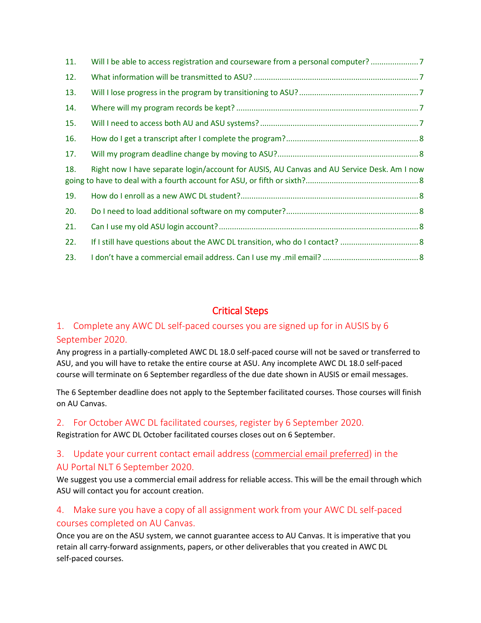| 11.                                                                                               | Will I be able to access registration and courseware from a personal computer? |  |
|---------------------------------------------------------------------------------------------------|--------------------------------------------------------------------------------|--|
| 12.                                                                                               |                                                                                |  |
| 13.                                                                                               |                                                                                |  |
| 14.                                                                                               |                                                                                |  |
| 15.                                                                                               |                                                                                |  |
| 16.                                                                                               |                                                                                |  |
| 17.                                                                                               |                                                                                |  |
| Right now I have separate login/account for AUSIS, AU Canvas and AU Service Desk. Am I now<br>18. |                                                                                |  |
| 19.                                                                                               |                                                                                |  |
| 20.                                                                                               |                                                                                |  |
|                                                                                                   |                                                                                |  |
| 21.                                                                                               |                                                                                |  |
| 22.                                                                                               |                                                                                |  |

# Critical Steps

# <span id="page-2-1"></span><span id="page-2-0"></span>1. Complete any AWC DL self-paced courses you are signed up for in AUSIS by 6 September 2020.

Any progress in a partially-completed AWC DL 18.0 self-paced course will not be saved or transferred to ASU, and you will have to retake the entire course at ASU. Any incomplete AWC DL 18.0 self-paced course will terminate on 6 September regardless of the due date shown in AUSIS or email messages.

The 6 September deadline does not apply to the September facilitated courses. Those courses will finish on AU Canvas. 

### <span id="page-2-2"></span>2. For October AWC DL facilitated courses, register by 6 September 2020.

Registration for AWC DL October facilitated courses closes out on 6 September.

## <span id="page-2-3"></span>3. Update your current contact email address (commercial email preferred) in the AU Portal NLT 6 September 2020.

We suggest you use a commercial email address for reliable access. This will be the email through which ASU will contact you for account creation.

# <span id="page-2-4"></span>4. Make sure you have a copy of all assignment work from your AWC DL self-paced courses completed on AU Canvas.

Once you are on the ASU system, we cannot guarantee access to AU Canvas. It is imperative that you retain all carry-forward assignments, papers, or other deliverables that you created in AWC DL self-paced courses.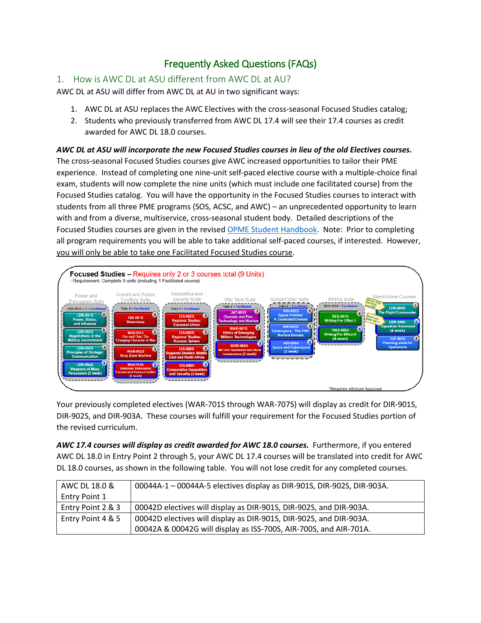# Frequently Asked Questions (FAQs)

## <span id="page-3-1"></span><span id="page-3-0"></span>1. How is AWC DL at ASU different from AWC DL at AU?

AWC DL at ASU will differ from AWC DL at AU in two significant ways:

- 1. AWC DL at ASU replaces the AWC Electives with the cross-seasonal Focused Studies catalog;
- 2. Students who previously transferred from AWC DL 17.4 will see their 17.4 courses as credit awarded for AWC DL 18.0 courses.

*AWC DL at ASU will incorporate the new Focused Studies courses in lieu of the old Electives courses.* The cross-seasonal Focused Studies courses give AWC increased opportunities to tailor their PME experience. Instead of completing one nine-unit self-paced elective course with a multiple-choice final exam, students will now complete the nine units (which must include one facilitated course) from the Focused Studies catalog. You will have the opportunity in the Focused Studies courses to interact with students from all three PME programs (SOS, ACSC, and AWC) – an unprecedented opportunity to learn with and from a diverse, multiservice, cross-seasonal student body. Detailed descriptions of the Focused Studies courses are given in the revise[d OPME Student Handbook.](https://www.airuniversity.af.edu/Portals/10/eSchool/documents/PME/Combined_PME_Handbook_current.pdf) Note: Prior to completing all program requirements you will be able to take additional self-paced courses, if interested. However, you will only be able to take one Facilitated Focused Studies course.



Your previously completed electives (WAR-701S through WAR-707S) will display as credit for DIR-901S, DIR-902S, and DIR-903A. These courses will fulfill your requirement for the Focused Studies portion of the revised curriculum.

*AWC 17.4 courses will display as credit awarded for AWC 18.0 courses.* Furthermore, if you entered AWC DL 18.0 in Entry Point 2 through 5, your AWC DL 17.4 courses will be translated into credit for AWC DL 18.0 courses, as shown in the following table. You will not lose credit for any completed courses.

| AWC DL 18.0 &     | 00044A-1 - 00044A-5 electives display as DIR-901S, DIR-902S, DIR-903A. |
|-------------------|------------------------------------------------------------------------|
| Entry Point 1     |                                                                        |
| Entry Point 2 & 3 | 00042D electives will display as DIR-901S, DIR-902S, and DIR-903A.     |
| Entry Point 4 & 5 | 00042D electives will display as DIR-901S, DIR-902S, and DIR-903A.     |
|                   | 00042A & 00042G will display as ISS-700S, AIR-700S, and AIR-701A.      |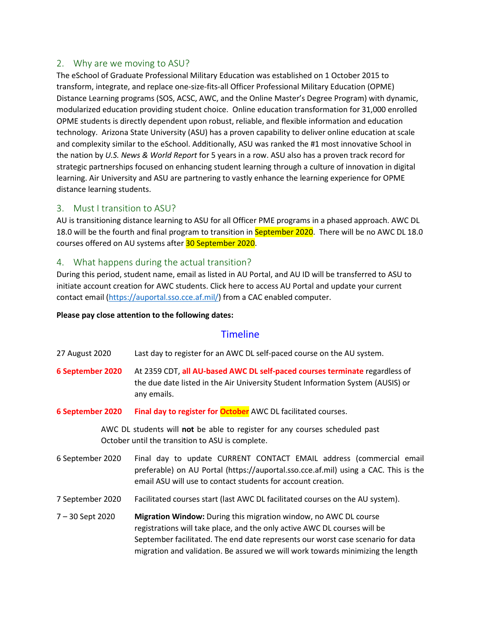#### <span id="page-4-0"></span>2. Why are we moving to ASU?

The eSchool of Graduate Professional Military Education was established on 1 October 2015 to transform, integrate, and replace one-size-fits-all Officer Professional Military Education (OPME) Distance Learning programs (SOS, ACSC, AWC, and the Online Master's Degree Program) with dynamic, modularized education providing student choice.  Online education transformation for 31,000 enrolled OPME students is directly dependent upon robust, reliable, and flexible information and education technology.  Arizona State University (ASU) has a proven capability to deliver online education at scale and complexity similar to the eSchool. Additionally, ASU was ranked the #1 most innovative School in the nation by *U.S. News & World Report* for 5 years in a row. ASU also has a proven track record for strategic partnerships focused on enhancing student learning through a culture of innovation in digital learning. Air University and ASU are partnering to vastly enhance the learning experience for OPME distance learning students.

#### <span id="page-4-1"></span>3. Must I transition to ASU?

AU is transitioning distance learning to ASU for all Officer PME programs in a phased approach. AWC DL 18.0 will be the fourth and final program to transition in September 2020. There will be no AWC DL 18.0 courses offered on AU systems after 30 September 2020.

#### <span id="page-4-2"></span>4. What happens during the actual transition?

During this period, student name, email as listed in AU Portal, and AU ID will be transferred to ASU to initiate account creation for AWC students. Click here to access AU Portal and update your current contact email [\(https://auportal.sso.cce.af.mil/\)](https://auportal.sso.cce.af.mil/) from a CAC enabled computer.

#### **Please pay close attention to the following dates:**

#### **Timeline**

27 August 2020 Last day to register for an AWC DL self-paced course on the AU system.

- **6 September 2020** At 2359 CDT, **all AU-based AWC DL self-paced courses terminate** regardless of the due date listed in the Air University Student Information System (AUSIS) or any emails.
- **6 September 2020 Final day to register for October** AWC DL facilitated courses.

AWC DL students will **not** be able to register for any courses scheduled past October until the transition to ASU is complete.

- 6 September 2020 Final day to update CURRENT CONTACT EMAIL address (commercial email preferable) on AU Portal (https://auportal.sso.cce.af.mil) using a CAC. This is the email ASU will use to contact students for account creation.
- 7 September 2020 Facilitated courses start (last AWC DL facilitated courses on the AU system).
- 7 30 Sept 2020 **Migration Window:** During this migration window, no AWC DL course registrations will take place, and the only active AWC DL courses will be September facilitated. The end date represents our worst case scenario for data migration and validation. Be assured we will work towards minimizing the length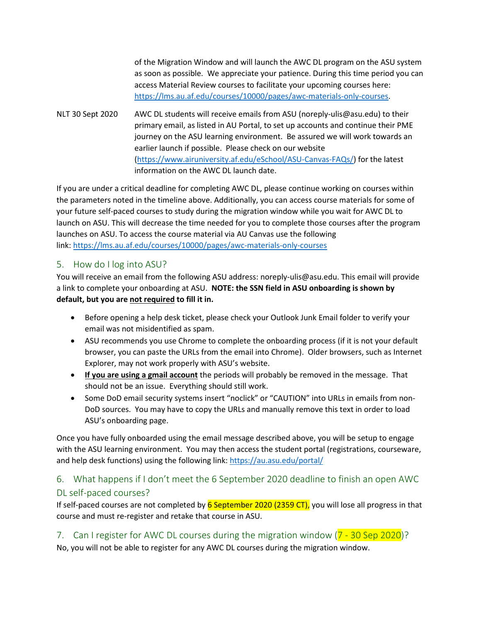of the Migration Window and will launch the AWC DL program on the ASU system as soon as possible. We appreciate your patience. During this time period you can access Material Review courses to facilitate your upcoming courses here: [https://lms.au.af.edu/courses/10000/pages/awc-materials-only-courses.](https://lms.au.af.edu/courses/10000/pages/awc-materials-only-courses)

NLT 30 Sept 2020 AWC DL students will receive emails from ASU (noreply-ulis@asu.edu) to their primary email, as listed in AU Portal, to set up accounts and continue their PME journey on the ASU learning environment. Be assured we will work towards an earlier launch if possible. Please check on our website [\(https://www.airuniversity.af.edu/eSchool/ASU-Canvas-FAQs/\)](https://www.airuniversity.af.edu/eSchool/ASU-Canvas-FAQs/) for the latest information on the AWC DL launch date.

If you are under a critical deadline for completing AWC DL, please continue working on courses within the parameters noted in the timeline above. Additionally, you can access course materials for some of your future self-paced courses to study during the migration window while you wait for AWC DL to launch on ASU. This will decrease the time needed for you to complete those courses after the program launches on ASU. To access the course material via AU Canvas use the following link: <https://lms.au.af.edu/courses/10000/pages/awc-materials-only-courses>

### <span id="page-5-0"></span>5. How do I log into ASU?

You will receive an email from the following ASU address: noreply-ulis@asu.edu. This email will provide a link to complete your onboarding at ASU. **NOTE: the SSN field in ASU onboarding is shown by default, but you are not required to fill it in.**

- Before opening a help desk ticket, please check your Outlook Junk Email folder to verify your email was not misidentified as spam.
- ASU recommends you use Chrome to complete the onboarding process (if it is not your default browser, you can paste the URLs from the email into Chrome). Older browsers, such as Internet Explorer, may not work properly with ASU's website.
- **If you are using a gmail account** the periods will probably be removed in the message. That should not be an issue. Everything should still work.
- Some DoD email security systems insert "noclick" or "CAUTION" into URLs in emails from non-DoD sources. You may have to copy the URLs and manually remove this text in order to load ASU's onboarding page.

Once you have fully onboarded using the email message described above, you will be setup to engage with the ASU learning environment. You may then access the student portal (registrations, courseware, and help desk functions) using the following link:<https://au.asu.edu/portal/>

## <span id="page-5-1"></span>6. What happens if I don't meet the 6 September 2020 deadline to finish an open AWC DL self-paced courses?

If self-paced courses are not completed by  $6$  September 2020 (2359 CT), you will lose all progress in that course and must re-register and retake that course in ASU.

<span id="page-5-2"></span>7. Can I register for AWC DL courses during the migration window (7 - 30 Sep 2020)? No, you will not be able to register for any AWC DL courses during the migration window.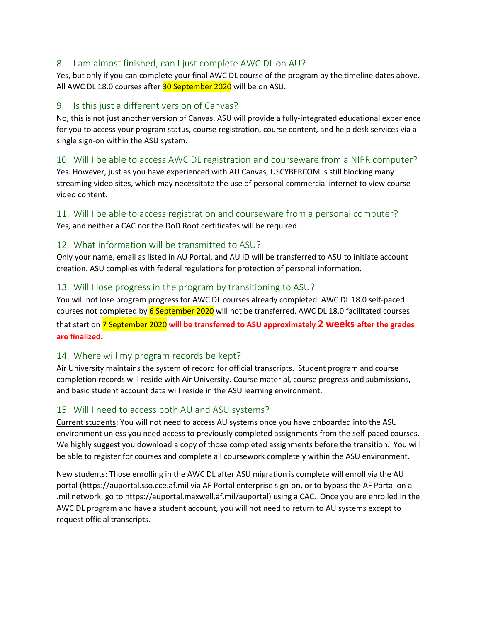### <span id="page-6-0"></span>8. I am almost finished, can I just complete AWC DL on AU?

Yes, but only if you can complete your final AWC DL course of the program by the timeline dates above. All AWC DL 18.0 courses after 30 September 2020 will be on ASU.

#### <span id="page-6-1"></span>9. Is this just a different version of Canvas?

No, this is not just another version of Canvas. ASU will provide a fully-integrated educational experience for you to access your program status, course registration, course content, and help desk services via a single sign-on within the ASU system.

#### <span id="page-6-2"></span>10. Will I be able to access AWC DL registration and courseware from a NIPR computer?

Yes. However, just as you have experienced with AU Canvas, USCYBERCOM is still blocking many streaming video sites, which may necessitate the use of personal commercial internet to view course video content.

### <span id="page-6-3"></span>11. Will I be able to access registration and courseware from a personal computer?

Yes, and neither a CAC nor the DoD Root certificates will be required.

### <span id="page-6-4"></span>12. What information will be transmitted to ASU?

Only your name, email as listed in AU Portal, and AU ID will be transferred to ASU to initiate account creation. ASU complies with federal regulations for protection of personal information.

### <span id="page-6-5"></span>13. Will I lose progress in the program by transitioning to ASU?

You will not lose program progress for AWC DL courses already completed. AWC DL 18.0 self-paced courses not completed by 6 September 2020 will not be transferred. AWC DL 18.0 facilitated courses that start on 7 September 2020 **will be transferred to ASU approximately 2 weeks after the grades are finalized.**

### <span id="page-6-6"></span>14. Where will my program records be kept?

Air University maintains the system of record for official transcripts.  Student program and course completion records will reside with Air University. Course material, course progress and submissions, and basic student account data will reside in the ASU learning environment.

### <span id="page-6-7"></span>15. Will I need to access both AU and ASU systems?

Current students: You will not need to access AU systems once you have onboarded into the ASU environment unless you need access to previously completed assignments from the self-paced courses. We highly suggest you download a copy of those completed assignments before the transition. You will be able to register for courses and complete all coursework completely within the ASU environment.

New students: Those enrolling in the AWC DL after ASU migration is complete will enroll via the AU portal (https://auportal.sso.cce.af.mil via AF Portal enterprise sign-on, or to bypass the AF Portal on a .mil network, go to https://auportal.maxwell.af.mil/auportal) using a CAC.  Once you are enrolled in the AWC DL program and have a student account, you will not need to return to AU systems except to request official transcripts.